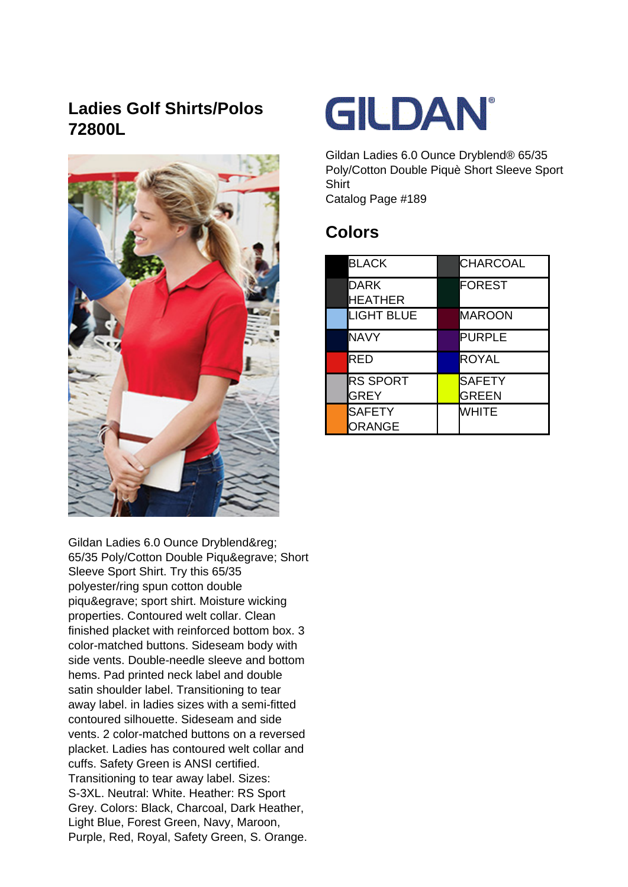## **Ladies Golf Shirts/Polos 72800L**



Gildan Ladies 6.0 Ounce Dryblend® 65/35 Poly/Cotton Double Piquè Short Sleeve Sport Shirt. Try this 65/35 polyester/ring spun cotton double piquè sport shirt. Moisture wicking properties. Contoured welt collar. Clean finished placket with reinforced bottom box. 3 color-matched buttons. Sideseam body with side vents. Double-needle sleeve and bottom hems. Pad printed neck label and double satin shoulder label. Transitioning to tear away label. in ladies sizes with a semi-fitted contoured silhouette. Sideseam and side vents. 2 color-matched buttons on a reversed placket. Ladies has contoured welt collar and cuffs. Safety Green is ANSI certified. Transitioning to tear away label. Sizes: S-3XL. Neutral: White. Heather: RS Sport Grey. Colors: Black, Charcoal, Dark Heather, Light Blue, Forest Green, Navy, Maroon, Purple, Red, Royal, Safety Green, S. Orange.



Gildan Ladies 6.0 Ounce Dryblend® 65/35 Poly/Cotton Double Piquè Short Sleeve Sport **Shirt** Catalog Page #189

**Colors**

| <b>BLACK</b>                   | <b>CHARCOAL</b>        |
|--------------------------------|------------------------|
| <b>DARK</b><br><b>HEATHER</b>  | FOREST                 |
| <b>LIGHT BLUE</b>              | MAROON                 |
| NAVY                           | <b>PURPLE</b>          |
| RED                            | <b>ROYAL</b>           |
| <b>RS SPORT</b><br><b>GREY</b> | <b>SAFETY</b><br>GREEN |
| SAFETY<br>ORANGE               | <b>WHITE</b>           |